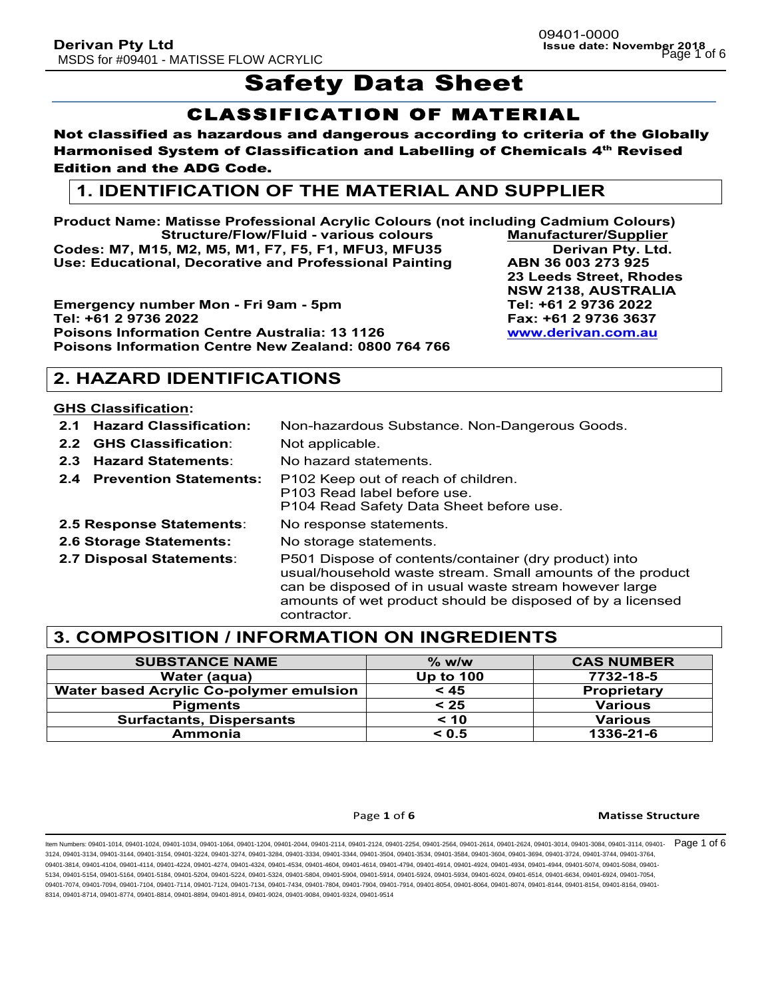# **Safety Data Sheet**

## CLASSIFICATION OF MATERIAL

#### Not classified as hazardous and dangerous according to criteria of the Globally Harmonised System of Classification and Labelling of Chemicals 4<sup>th</sup> Revised Edition and the ADG Code.

## **1. IDENTIFICATION OF THE MATERIAL AND SUPPLIER**

**Product Name: Matisse Professional Acrylic Colours (not including Cadmium Colours) Structure/Flow/Fluid - various colours Manufacturer/Supplier Codes: M7, M15, M2, M5, M1, F7, F5, F1, MFU3, MFU35 Derivan Pty. Ltd. Use: Educational, Decorative and Professional Painting ABN 36 003 273 925**

**Emergency number Mon - Fri 9am - 5pm Tel: +61 2 9736 2022 Tel: +61 2 9736 2022 Fax: +61 2 9736 3637 Poisons Information Centre Australia: 13 1126 www.derivan.com.au Poisons Information Centre New Zealand: 0800 764 766**

**2. HAZARD IDENTIFICATIONS**

#### **GHS Classification:**

- **2.1 Hazard Classification:** Non-hazardous Substance. Non-Dangerous Goods. **2.2 GHS Classification**: Not applicable.
- **2.3 Hazard Statements**: No hazard statements.
- **2.4 Prevention Statements:** P102 Keep out of reach of children.
	- P103 Read label before use.
		- P104 Read Safety Data Sheet before use.
- **2.5 Response Statements**: No response statements.
- **2.6 Storage Statements:** No storage statements.
- 
- 

**2.7 Disposal Statements**: P501 Dispose of contents/container (dry product) into usual/household waste stream. Small amounts of the product can be disposed of in usual waste stream however large amounts of wet product should be disposed of by a licensed contractor.

## **3. COMPOSITION / INFORMATION ON INGREDIENTS**

| <b>SUBSTANCE NAME</b>                          | $\%$ w/w         | <b>CAS NUMBER</b>  |
|------------------------------------------------|------------------|--------------------|
| Water (aqua)                                   | <b>Up to 100</b> | 7732-18-5          |
| <b>Water based Acrylic Co-polymer emulsion</b> | < 45             | <b>Proprietary</b> |
| <b>Pigments</b>                                | < 25             | <b>Various</b>     |
| <b>Surfactants, Dispersants</b>                | < 10             | <b>Various</b>     |
| Ammonia                                        | < 0.5            | 1336-21-6          |

#### Page 1 of 6 **Matisse Structure**

ltem Numbers: 09401-1014, 09401-1024, 09401-1034, 09401-1064, 09401-1204, 09401-2014, 09401-2114, 09401-2254, 09401-2564, 09401-2614, 09401-2624, 09401-3014, 09401-3084, 09401-3114, 09401-3114, 09401-2624, 09401-3014, 0940 3124, 09401-3134, 09401-3144, 09401-3154, 09401-3224, 09401-3274, 09401-3284, 09401-3334, 09401-3344, 09401-3504, 09401-3534, 09401-3584, 09401-3604, 09401-3694, 09401-3724, 09401-3744, 09401-3764, 09401-3814, 09401-4104, 09401-4114, 09401-4224, 09401-4274, 09401-4324, 09401-4634, 09401-4604, 09401-4614, 09401-4794, 09401-4914, 09401-4924, 09401-4924, 09401-4944, 09401-5074, 09401-4504, 09401-4924, 09401-4924, 09401-4 5134, 09401-5154, 09401-5164, 09401-5184, 09401-5204, 09401-5224, 09401-5324, 09401-5804, 09401-5904, 09401-5914, 09401-5924, 09401-5934, 09401-6024, 09401-6514, 09401-6634, 09401-6924, 09401-7054, 09401-7074, 09401-7094, 09401-7104, 09401-7114, 09401-7124, 09401-7334, 09401-7804, 09401-7904, 09401-7914, 09401-8054, 09401-8054, 09401-8064, 09401-8074, 09401-8144, 09401-8154, 09401-8164, 09401-8164, 09401-8164, 09401-8 8314, 09401-8714, 09401-8774, 09401-8814, 09401-8894, 09401-8914, 09401-9024, 09401-9084, 09401-9324, 09401-9514

**23 Leeds Street, Rhodes NSW 2138, AUSTRALIA**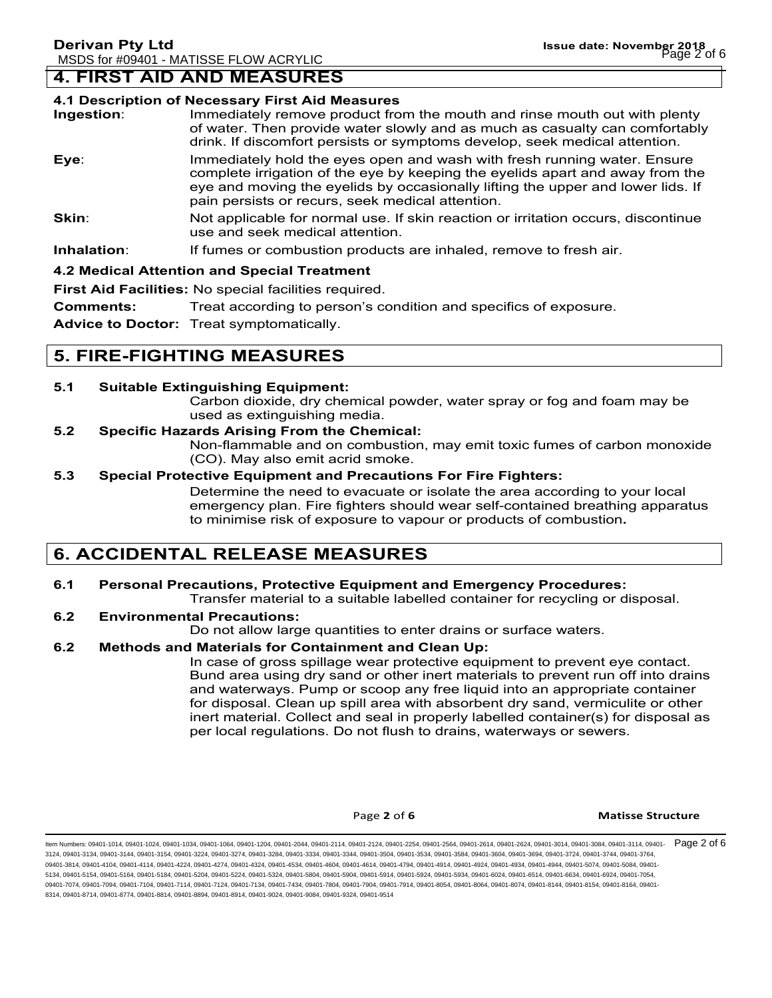### **4. FIRST AID AND MEASURES**

#### **4.1 Description of Necessary First Aid Measures**

| Ingestion:  | Immediately remove product from the mouth and rinse mouth out with plenty<br>of water. Then provide water slowly and as much as casualty can comfortably<br>drink. If discomfort persists or symptoms develop, seek medical attention.                                                           |  |
|-------------|--------------------------------------------------------------------------------------------------------------------------------------------------------------------------------------------------------------------------------------------------------------------------------------------------|--|
| Eye:        | Immediately hold the eyes open and wash with fresh running water. Ensure<br>complete irrigation of the eye by keeping the eyelids apart and away from the<br>eye and moving the eyelids by occasionally lifting the upper and lower lids. If<br>pain persists or recurs, seek medical attention. |  |
| Skin:       | Not applicable for normal use. If skin reaction or irritation occurs, discontinue<br>use and seek medical attention.                                                                                                                                                                             |  |
| Inhalation: | If fumes or combustion products are inhaled, remove to fresh air.                                                                                                                                                                                                                                |  |

#### **4.2 Medical Attention and Special Treatment**

**First Aid Facilities:** No special facilities required.

**Comments:** Treat according to person's condition and specifics of exposure.

**Advice to Doctor:** Treat symptomatically.

## **5. FIRE-FIGHTING MEASURES**

#### **5.1 Suitable Extinguishing Equipment:**

Carbon dioxide, dry chemical powder, water spray or fog and foam may be used as extinguishing media.

#### **5.2 Specific Hazards Arising From the Chemical:**

Non-flammable and on combustion, may emit toxic fumes of carbon monoxide (CO). May also emit acrid smoke.

#### **5.3 Special Protective Equipment and Precautions For Fire Fighters:**

Determine the need to evacuate or isolate the area according to your local emergency plan. Fire fighters should wear self-contained breathing apparatus to minimise risk of exposure to vapour or products of combustion**.**

## **6. ACCIDENTAL RELEASE MEASURES**

## **6.1 Personal Precautions, Protective Equipment and Emergency Procedures:**

Transfer material to a suitable labelled container for recycling or disposal.

#### **6.2 Environmental Precautions:**

Do not allow large quantities to enter drains or surface waters.

#### **6.2 Methods and Materials for Containment and Clean Up:**

In case of gross spillage wear protective equipment to prevent eye contact. Bund area using dry sand or other inert materials to prevent run off into drains and waterways. Pump or scoop any free liquid into an appropriate container for disposal. Clean up spill area with absorbent dry sand, vermiculite or other inert material. Collect and seal in properly labelled container(s) for disposal as per local regulations. Do not flush to drains, waterways or sewers.

#### **Page 2** of 6 **Matisse Structure**

ltem Numbers: 09401-1014, 09401-1024, 09401-1034, 09401-1064, 09401-2044, 09401-2114, 09401-2124, 09401-254, 09401-2564, 09401-2614, 09401-2624, 09401-3014, 09401-3084, 09401-3114, 09401-3114, 09401-2624, 09401-2624, 09401 3124, 09401-3134, 09401-3144, 09401-3154, 09401-3224, 09401-3274, 09401-3284, 09401-3334, 09401-3344, 09401-3504, 09401-3534, 09401-3584, 09401-3604, 09401-3694, 09401-3724, 09401-3744, 09401-3764, 09401-3814, 09401-4104, 09401-4114, 09401-4224, 09401-4274, 09401-4324, 09401-4634, 09401-4604, 09401-4614, 09401-4794, 09401-4924, 09401-4924, 09401-4924, 09401-4944, 09401-4504, 09401-4924, 09401-4924, 09401-4924, 09401-4 5134, 09401-5154, 09401-5164, 09401-5184, 09401-5204, 09401-5224, 09401-5324, 09401-5804, 09401-5904, 09401-5914, 09401-5924, 09401-5934, 09401-6024, 09401-6514, 09401-6634, 09401-6924, 09401-7054, 09401-7074, 09401-7094, 09401-7104, 09401-7114, 09401-7124, 09401-7134, 09401-7804, 09401-7904, 09401-7904, 09401-804, 09401-8054, 09401-8064, 09401-8074, 09401-8144, 09401-8154, 09401-8164, 09401-8164, 09401-8164, 09401-81 8314, 09401-8714, 09401-8774, 09401-8814, 09401-8894, 09401-8914, 09401-9024, 09401-9084, 09401-9324, 09401-9514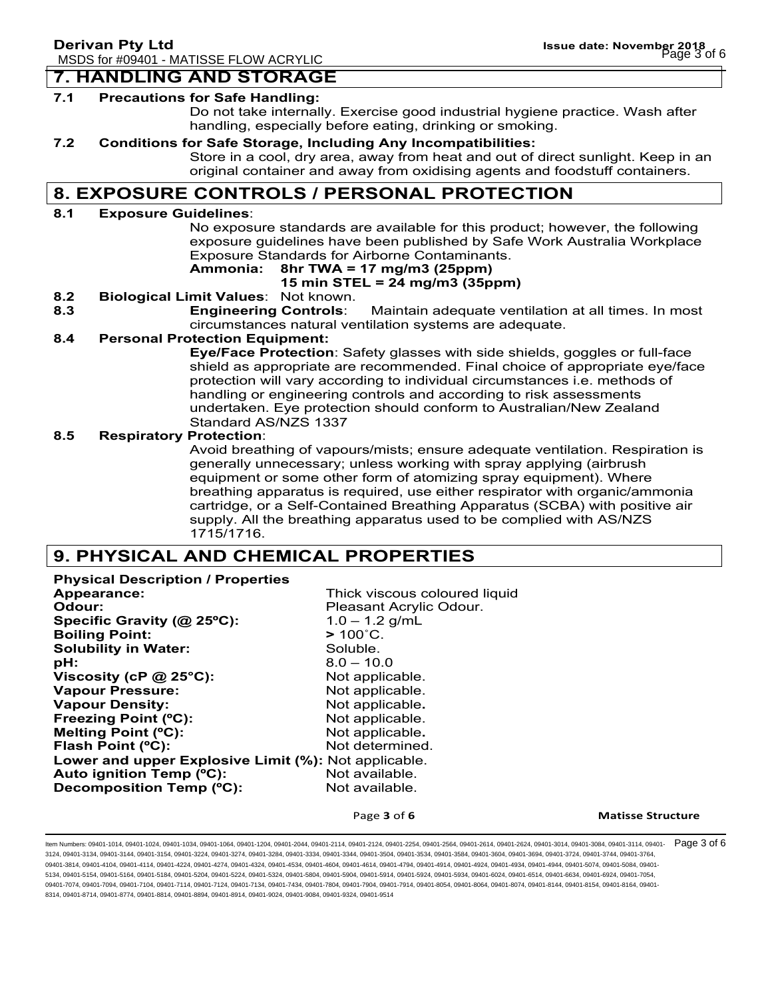#### **7. HANDLING AND STORAGE**

#### **7.1 Precautions for Safe Handling:**

Do not take internally. Exercise good industrial hygiene practice. Wash after handling, especially before eating, drinking or smoking.

#### **7.2 Conditions for Safe Storage, Including Any Incompatibilities:**

Store in a cool, dry area, away from heat and out of direct sunlight. Keep in an original container and away from oxidising agents and foodstuff containers.

## **8. EXPOSURE CONTROLS / PERSONAL PROTECTION**

#### **8.1 Exposure Guidelines**:

No exposure standards are available for this product; however, the following exposure guidelines have been published by Safe Work Australia Workplace Exposure Standards for Airborne Contaminants.

### **Ammonia: 8hr TWA = 17 mg/m3 (25ppm)**

#### **15 min STEL = 24 mg/m3 (35ppm)**

- **8.2 Biological Limit Values**: Not known.
- **8.3 Engineering Controls**: Maintain adequate ventilation at all times. In most circumstances natural ventilation systems are adequate.

#### **8.4 Personal Protection Equipment:**

**Eye/Face Protection**: Safety glasses with side shields, goggles or full-face shield as appropriate are recommended. Final choice of appropriate eye/face protection will vary according to individual circumstances i.e. methods of handling or engineering controls and according to risk assessments undertaken. Eye protection should conform to Australian/New Zealand Standard AS/NZS 1337

#### **8.5 Respiratory Protection**:

Avoid breathing of vapours/mists; ensure adequate ventilation. Respiration is generally unnecessary; unless working with spray applying (airbrush equipment or some other form of atomizing spray equipment). Where breathing apparatus is required, use either respirator with organic/ammonia cartridge, or a Self-Contained Breathing Apparatus (SCBA) with positive air supply. All the breathing apparatus used to be complied with AS/NZS 1715/1716.

## **9. PHYSICAL AND CHEMICAL PROPERTIES**

**Physical Description / Properties Appearance:** Thick viscous coloured liquid **Odour: Pleasant Acrylic Odour. Specific Gravity (@ 25ºC):** 1.0 – 1.2 g/mL **Boiling Point: >** 100˚C. **Solubility in Water:** Soluble. **pH:** 8.0 – 10.0 **Viscosity (cP @ 25°C):** Not applicable. **Vapour Pressure:** Not applicable. **Vapour Density:** Not applicable. **Freezing Point (°C):** Not applicable. **Melting Point (°C):** Not applicable. **Flash Point (°C):** Not determined. **Lower and upper Explosive Limit (%):** Not applicable. Auto ignition Temp (°C): Not available. **Decomposition Temp (°C):** Not available.

Page 3 of 6 **Matisse Structure** 

ltem Numbers: 09401-1014, 09401-1024, 09401-1034, 09401-1064, 09401-2044, 09401-2114, 09401-2124, 09401-254, 09401-2564, 09401-2614, 09401-2624, 09401-3014, 09401-3084, 09401-3114, 09401-3114, 09401-2624, 09401-2624, 09401 3124, 09401-3134, 09401-3144, 09401-3154, 09401-3224, 09401-3274, 09401-3284, 09401-3334, 09401-3344, 09401-3504, 09401-3534, 09401-3584, 09401-3604, 09401-3694, 09401-3724, 09401-3744, 09401-3764, 09401-3814, 09401-4104, 09401-4114, 09401-4224, 09401-4274, 09401-4324, 09401-4634, 09401-4604, 09401-4614, 09401-4794, 09401-4924, 09401-4924, 09401-4924, 09401-4944, 09401-4504, 09401-4924, 09401-4924, 09401-4924, 09401-4 5134, 09401-5154, 09401-5164, 09401-5184, 09401-5204, 09401-5224, 09401-5324, 09401-5804, 09401-5904, 09401-5914, 09401-5924, 09401-5934, 09401-6024, 09401-6514, 09401-6634, 09401-6924, 09401-7054, 09401-7074, 09401-7094, 09401-7104, 09401-7114, 09401-7124, 09401-7344, 09401-7804, 09401-7904, 09401-7914, 09401-8054, 09401-8064, 09401-8074, 09401-8144, 09401-8154, 09401-8164, 09401-8074, 09401-8054, 09401-8164, 09401-8 8314, 09401-8714, 09401-8774, 09401-8814, 09401-8894, 09401-8914, 09401-9024, 09401-9084, 09401-9324, 09401-9514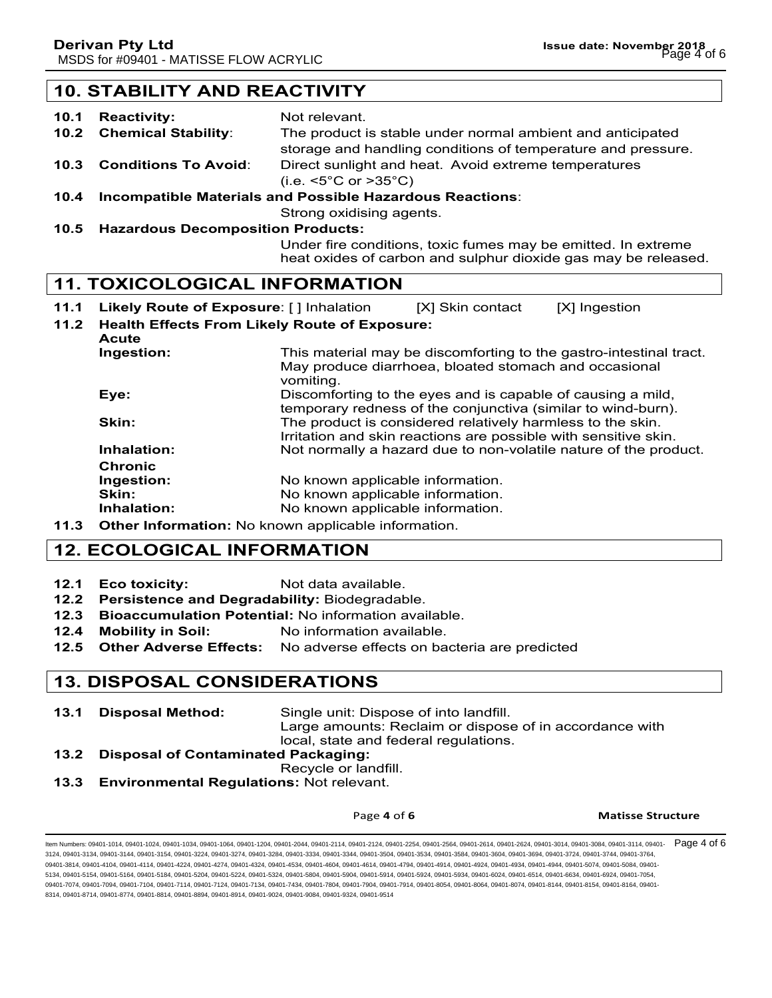## **10. STABILITY AND REACTIVITY**

- 10.1 Reactivity: Not relevant. **10.2 Chemical Stability**: The product is stable under normal ambient and anticipated storage and handling conditions of temperature and pressure. **10.3 Conditions To Avoid**: Direct sunlight and heat. Avoid extreme temperatures (i.e. <5°C or >35°C)
- **10.4 Incompatible Materials and Possible Hazardous Reactions**:

Strong oxidising agents.

**10.5 Hazardous Decomposition Products:**

Under fire conditions, toxic fumes may be emitted. In extreme heat oxides of carbon and sulphur dioxide gas may be released.

#### **11. TOXICOLOGICAL INFORMATION**

- **11.1 Likely Route of Exposure**: [ ] Inhalation [X] Skin contact [X] Ingestion
- **11.2 Health Effects From Likely Route of Exposure:**
- **Acute Ingestion:** This material may be discomforting to the gastro-intestinal tract. May produce diarrhoea, bloated stomach and occasional vomiting. **Eye: Exercise 2.1** Discomforting to the eyes and is capable of causing a mild, temporary redness of the conjunctiva (similar to wind-burn). **Skin:** The product is considered relatively harmless to the skin. Irritation and skin reactions are possible with sensitive skin. **Inhalation:** Not normally a hazard due to non-volatile nature of the product. **Chronic Ingestion:** No known applicable information. **Skin:** No known applicable information. **Inhalation:** No known applicable information.
- **11.3 Other Information:** No known applicable information.

## **12. ECOLOGICAL INFORMATION**

- **12.1 Eco toxicity:** Not data available.
- **12.2 Persistence and Degradability:** Biodegradable.
- **12.3 Bioaccumulation Potential:** No information available.
- **12.4 Mobility in Soil:** No information available.
- **12.5 Other Adverse Effects:** No adverse effects on bacteria are predicted

## **13. DISPOSAL CONSIDERATIONS**

- **13.1 Disposal Method:** Single unit: Dispose of into landfill. Large amounts: Reclaim or dispose of in accordance with local, state and federal regulations.
- **13.2 Disposal of Contaminated Packaging:**
- Recycle or landfill.
- **13.3 Environmental Regulations:** Not relevant.

#### **Page 4 of 6 Matisse Structure**

ltem Numbers: 09401-1014, 09401-1024, 09401-1034, 09401-1064, 09401-1204, 09401-2014, 09401-2114, 09401-2254, 09401-2564, 09401-2614, 09401-2624, 09401-3014, 09401-3084, 09401-3114, 09401-3114, 09401-2624, 09401-2624, 0940 3124, 09401-3134, 09401-3144, 09401-3154, 09401-3224, 09401-3274, 09401-3284, 09401-3334, 09401-3344, 09401-3504, 09401-3534, 09401-3584, 09401-3604, 09401-3694, 09401-3724, 09401-3744, 09401-3764, 09401-3814, 09401-4104, 09401-4114, 09401-4224, 09401-4274, 09401-4324, 09401-4634, 09401-4604, 09401-4614, 09401-4794, 09401-4914, 09401-4924, 09401-4924, 09401-4944, 09401-5074, 09401-4504, 09401-4924, 09401-4924, 09401-4 5134, 09401-5154, 09401-5164, 09401-5184, 09401-5204, 09401-5224, 09401-5324, 09401-5804, 09401-5904, 09401-5914, 09401-5924, 09401-5934, 09401-6024, 09401-6514, 09401-6634, 09401-6924, 09401-7054, 09401-7074, 09401-7094, 09401-7104, 09401-7114, 09401-7124, 09401-7344, 09401-7804, 09401-7904, 09401-7914, 09401-8054, 09401-8064, 09401-8074, 09401-8144, 09401-8154, 09401-8164, 09401-8074, 09401-8054, 09401-8164, 09401-8 8314, 09401-8714, 09401-8774, 09401-8814, 09401-8894, 09401-8914, 09401-9024, 09401-9084, 09401-9324, 09401-9514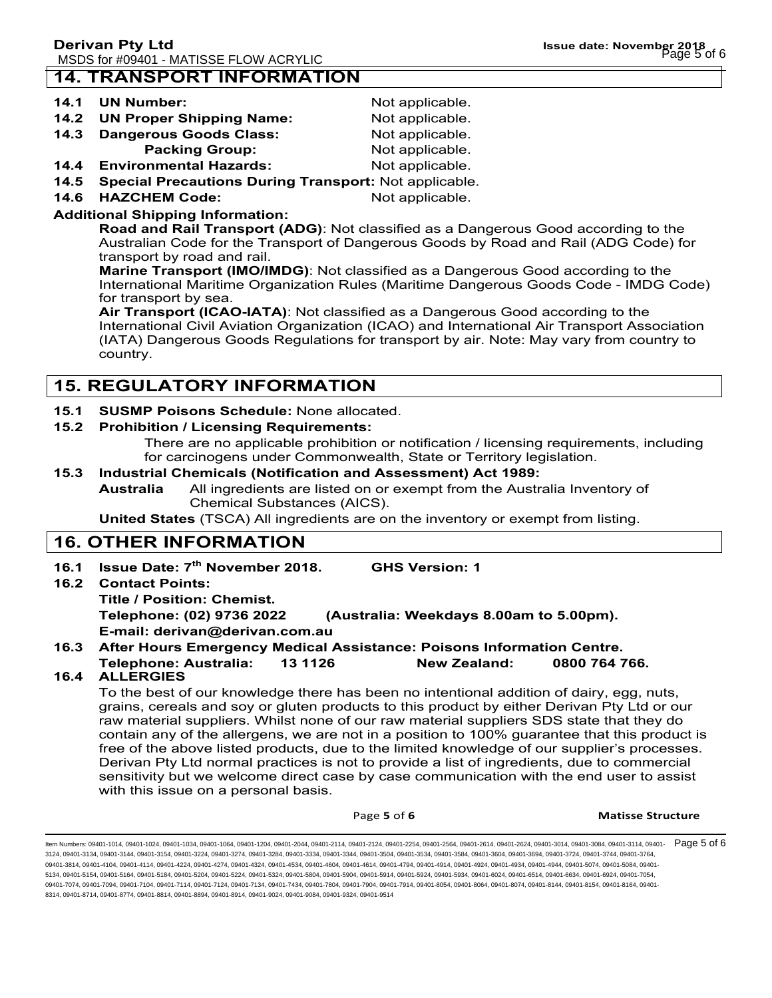## **14. TRANSPORT INFORMATION**

#### **14.1 UN Number:** Not applicable.

| ------- | ----------------                | .               |
|---------|---------------------------------|-----------------|
| 14.2    | <b>UN Proper Shipping Name:</b> | Not applicable. |

- **14.3 Dangerous Goods Class: Not applicable.**
- **Packing Group:** Not applicable.
- **14.4 Environmental Hazards:** Not applicable.
- **14.5 Special Precautions During Transport:** Not applicable.
- **14.6 HAZCHEM Code:** Not applicable.

### **Additional Shipping Information:**

**Road and Rail Transport (ADG)**: Not classified as a Dangerous Good according to the Australian Code for the Transport of Dangerous Goods by Road and Rail (ADG Code) for transport by road and rail.

**Marine Transport (IMO/IMDG)**: Not classified as a Dangerous Good according to the International Maritime Organization Rules (Maritime Dangerous Goods Code - IMDG Code) for transport by sea.

**Air Transport (ICAO-IATA)**: Not classified as a Dangerous Good according to the International Civil Aviation Organization (ICAO) and International Air Transport Association (IATA) Dangerous Goods Regulations for transport by air. Note: May vary from country to country.

## **15. REGULATORY INFORMATION**

#### **15.1 SUSMP Poisons Schedule:** None allocated.

#### **15.2 Prohibition / Licensing Requirements:**

There are no applicable prohibition or notification / licensing requirements, including for carcinogens under Commonwealth, State or Territory legislation.

#### **15.3 Industrial Chemicals (Notification and Assessment) Act 1989:**

**Australia** All ingredients are listed on or exempt from the Australia Inventory of Chemical Substances (AICS).

**United States** (TSCA) All ingredients are on the inventory or exempt from listing.

## **16. OTHER INFORMATION**

**16.1 Issue Date: 7th November 2018. GHS Version: 1 16.2 Contact Points: Title / Position: Chemist. Telephone: (02) 9736 2022 (Australia: Weekdays 8.00am to 5.00pm).**

**E-mail: derivan@derivan.com.au**

#### **16.3 After Hours Emergency Medical Assistance: Poisons Information Centre.**

**Telephone: Australia: 13 1126 New Zealand: 0800 764 766.**

## **16.4 ALLERGIES**

To the best of our knowledge there has been no intentional addition of dairy, egg, nuts, grains, cereals and soy or gluten products to this product by either Derivan Pty Ltd or our raw material suppliers. Whilst none of our raw material suppliers SDS state that they do contain any of the allergens, we are not in a position to 100% guarantee that this product is free of the above listed products, due to the limited knowledge of our supplier's processes. Derivan Pty Ltd normal practices is not to provide a list of ingredients, due to commercial sensitivity but we welcome direct case by case communication with the end user to assist with this issue on a personal basis.

**Page 5 of 6 Matisse Structure** 

ltem Numbers: 09401-1014, 09401-1024, 09401-1034, 09401-1064, 09401-1204, 09401-2014, 09401-2114, 09401-2254, 09401-2564, 09401-2614, 09401-2624, 09401-3014, 09401-3084, 09401-3114, 09401-3114, 09401-2624, 09401-3014, 0940 3124, 09401-3134, 09401-3144, 09401-3154, 09401-3224, 09401-3274, 09401-3284, 09401-3334, 09401-3344, 09401-3504, 09401-3534, 09401-3584, 09401-3604, 09401-3694, 09401-3724, 09401-3744, 09401-3764, 09401-3814, 09401-4104, 09401-4114, 09401-4224, 09401-4274, 09401-4324, 09401-4634, 09401-4604, 09401-4614, 09401-4794, 09401-4924, 09401-4924, 09401-4924, 09401-4944, 09401-4504, 09401-4924, 09401-4924, 09401-4924, 09401-4 5134, 09401-5154, 09401-5164, 09401-5184, 09401-5204, 09401-5224, 09401-5324, 09401-5804, 09401-5904, 09401-5914, 09401-5924, 09401-5934, 09401-6024, 09401-6514, 09401-6634, 09401-6924, 09401-7054, 09401-7074, 09401-7094, 09401-7104, 09401-7114, 09401-7124, 09401-7134, 09401-7804, 09401-7904, 09401-7904, 09401-804, 09401-8054, 09401-8064, 09401-8074, 09401-8144, 09401-8154, 09401-8164, 09401-8164, 09401-8164, 09401-81 8314, 09401-8714, 09401-8774, 09401-8814, 09401-8894, 09401-8914, 09401-9024, 09401-9084, 09401-9324, 09401-9514